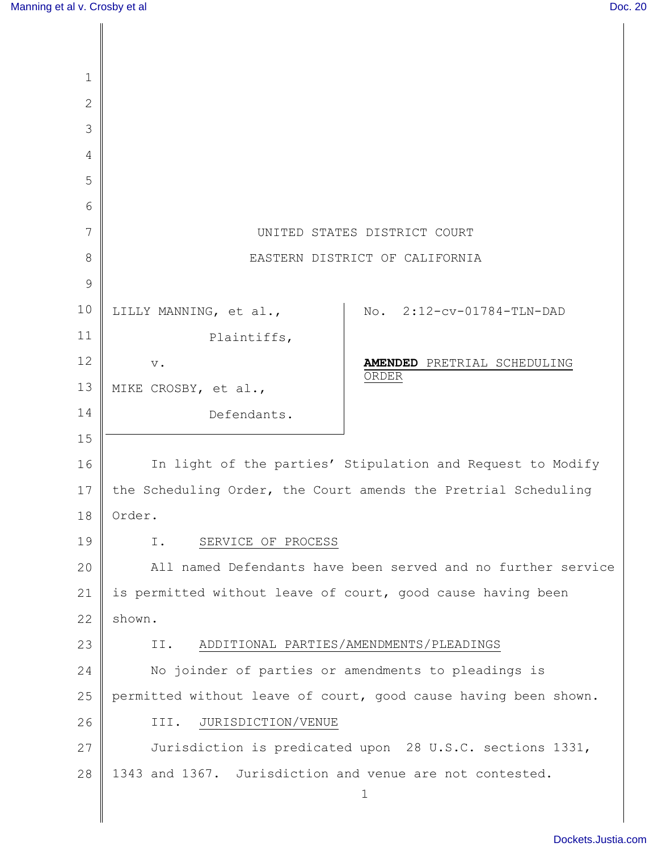Π

| $\mathbf 1$    |                                                                 |
|----------------|-----------------------------------------------------------------|
| $\overline{2}$ |                                                                 |
| 3              |                                                                 |
| $\overline{4}$ |                                                                 |
| 5              |                                                                 |
| 6              |                                                                 |
| 7              | UNITED STATES DISTRICT COURT                                    |
| 8              | EASTERN DISTRICT OF CALIFORNIA                                  |
| 9              |                                                                 |
| 10             | No. 2:12-cv-01784-TLN-DAD<br>LILLY MANNING, et al.,             |
| 11             | Plaintiffs,                                                     |
| 12             | <b>AMENDED</b> PRETRIAL SCHEDULING<br>$\mathbf v$ .<br>ORDER    |
| 13             | MIKE CROSBY, et al.,                                            |
| 14             | Defendants.                                                     |
| 15             |                                                                 |
| 16             | In light of the parties' Stipulation and Request to Modify      |
| 17             | the Scheduling Order, the Court amends the Pretrial Scheduling  |
| 18             | Order.                                                          |
| 19             | SERVICE OF PROCESS<br>Ι.                                        |
| 20             | All named Defendants have been served and no further service    |
| 21             | is permitted without leave of court, good cause having been     |
| 22             | shown.                                                          |
| 23             | ADDITIONAL PARTIES/AMENDMENTS/PLEADINGS<br>II.                  |
| 24             | No joinder of parties or amendments to pleadings is             |
| 25             | permitted without leave of court, good cause having been shown. |
| 26             | JURISDICTION/VENUE<br>III.                                      |
| 27             | Jurisdiction is predicated upon 28 U.S.C. sections 1331,        |
| 28             | 1343 and 1367. Jurisdiction and venue are not contested.        |
|                | 1                                                               |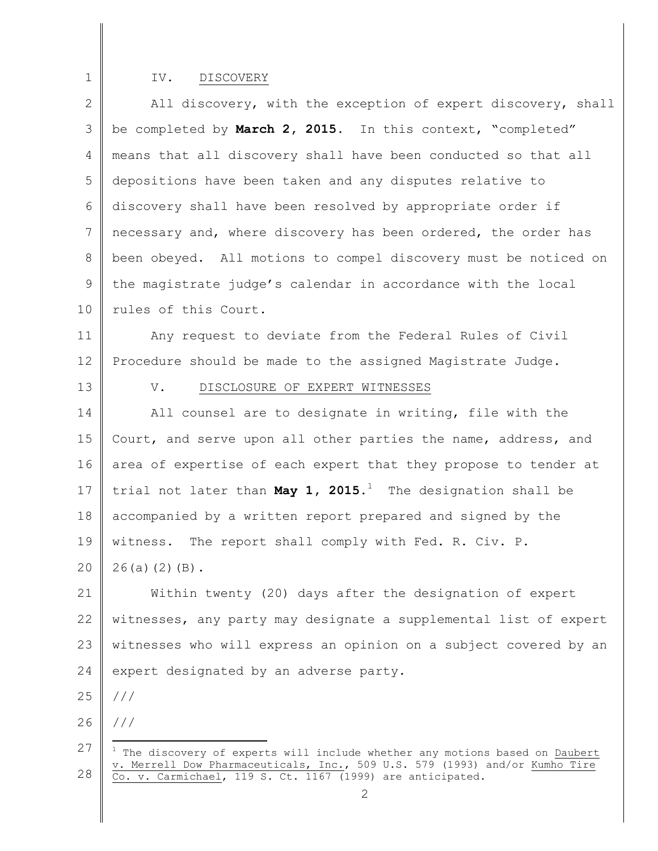## IV. DISCOVERY

2 3 4 5 6 7 8 9 10 All discovery, with the exception of expert discovery, shall be completed by **March 2, 2015**. In this context, "completed" means that all discovery shall have been conducted so that all depositions have been taken and any disputes relative to discovery shall have been resolved by appropriate order if necessary and, where discovery has been ordered, the order has been obeyed. All motions to compel discovery must be noticed on the magistrate judge's calendar in accordance with the local rules of this Court.

11 12 Any request to deviate from the Federal Rules of Civil Procedure should be made to the assigned Magistrate Judge.

13

1

#### V. DISCLOSURE OF EXPERT WITNESSES

14 15 16 17 18 19 All counsel are to designate in writing, file with the Court, and serve upon all other parties the name, address, and area of expertise of each expert that they propose to tender at trial not later than **May 1, 2015**. <sup>1</sup> The designation shall be accompanied by a written report prepared and signed by the witness. The report shall comply with Fed. R. Civ. P.

20 26(a)(2)(B).

21 22 23 24 Within twenty (20) days after the designation of expert witnesses, any party may designate a supplemental list of expert witnesses who will express an opinion on a subject covered by an expert designated by an adverse party.

25 ///

26 ///

<sup>27</sup>  28  $1$  The discovery of experts will include whether any motions based on Daubert v. Merrell Dow Pharmaceuticals, Inc., 509 U.S. 579 (1993) and/or Kumho Tire Co. v. Carmichael, 119 S. Ct. 1167 (1999) are anticipated.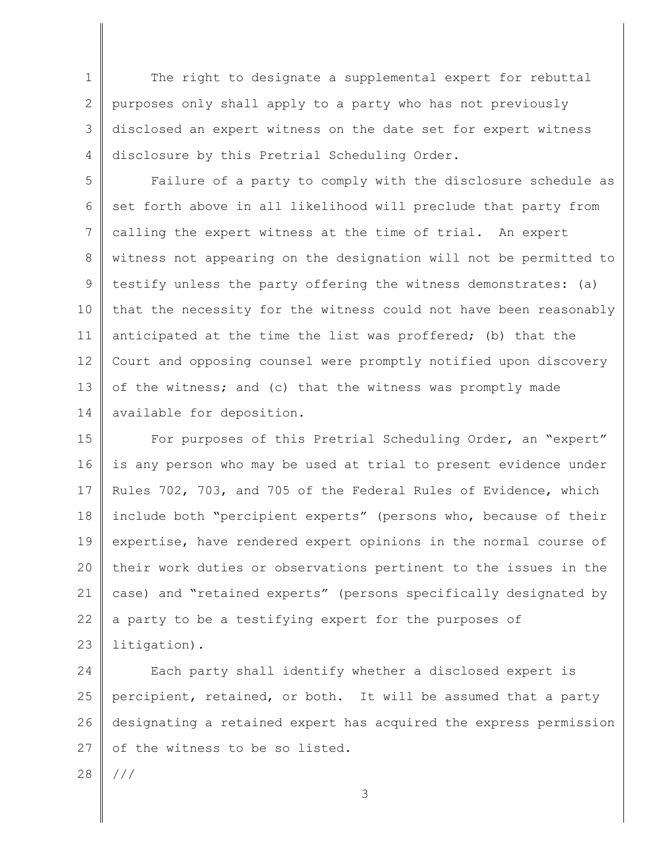1 2 3 4 The right to designate a supplemental expert for rebuttal purposes only shall apply to a party who has not previously disclosed an expert witness on the date set for expert witness disclosure by this Pretrial Scheduling Order.

5 6 7 8 9 10 11 12 13 14 Failure of a party to comply with the disclosure schedule as set forth above in all likelihood will preclude that party from calling the expert witness at the time of trial. An expert witness not appearing on the designation will not be permitted to testify unless the party offering the witness demonstrates: (a) that the necessity for the witness could not have been reasonably anticipated at the time the list was proffered; (b) that the Court and opposing counsel were promptly notified upon discovery of the witness; and (c) that the witness was promptly made available for deposition.

15 16 17 18 19 20 21 22 23 For purposes of this Pretrial Scheduling Order, an "expert" is any person who may be used at trial to present evidence under Rules 702, 703, and 705 of the Federal Rules of Evidence, which include both "percipient experts" (persons who, because of their expertise, have rendered expert opinions in the normal course of their work duties or observations pertinent to the issues in the case) and "retained experts" (persons specifically designated by a party to be a testifying expert for the purposes of litigation).

24 25 26 27 Each party shall identify whether a disclosed expert is percipient, retained, or both. It will be assumed that a party designating a retained expert has acquired the express permission of the witness to be so listed.

28 ///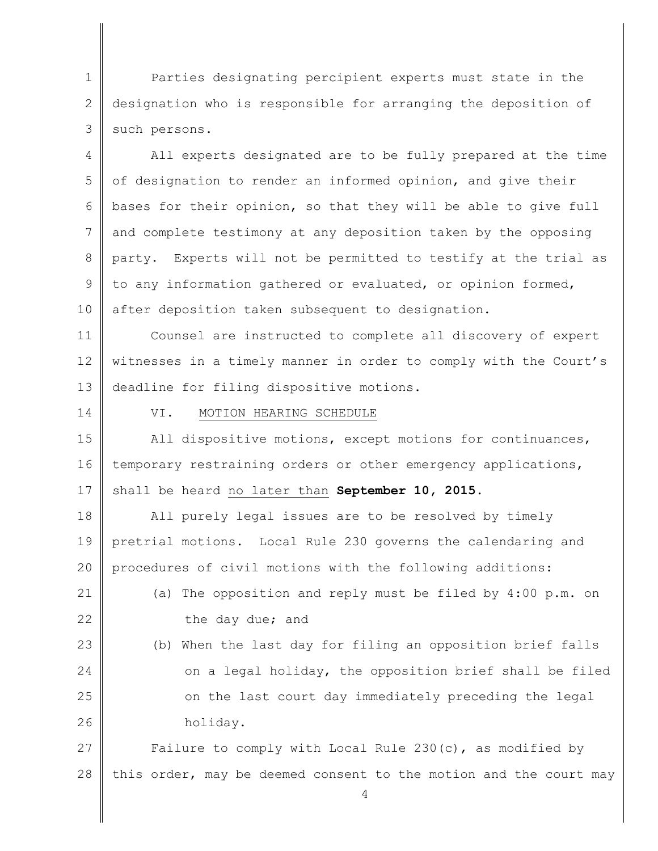1 2 3 Parties designating percipient experts must state in the designation who is responsible for arranging the deposition of such persons.

4 5 6 7 8 9 10 All experts designated are to be fully prepared at the time of designation to render an informed opinion, and give their bases for their opinion, so that they will be able to give full and complete testimony at any deposition taken by the opposing party. Experts will not be permitted to testify at the trial as to any information gathered or evaluated, or opinion formed, after deposition taken subsequent to designation.

11 12 13 Counsel are instructed to complete all discovery of expert witnesses in a timely manner in order to comply with the Court's deadline for filing dispositive motions.

14

## VI. MOTION HEARING SCHEDULE

15 16 17 All dispositive motions, except motions for continuances, temporary restraining orders or other emergency applications, shall be heard no later than **September 10, 2015**.

18 19 20 All purely legal issues are to be resolved by timely pretrial motions. Local Rule 230 governs the calendaring and procedures of civil motions with the following additions:

21 22 (a) The opposition and reply must be filed by 4:00 p.m. on the day due; and

23 24 25 26 (b) When the last day for filing an opposition brief falls on a legal holiday, the opposition brief shall be filed on the last court day immediately preceding the legal holiday.

27 28 Failure to comply with Local Rule 230 $(c)$ , as modified by this order, may be deemed consent to the motion and the court may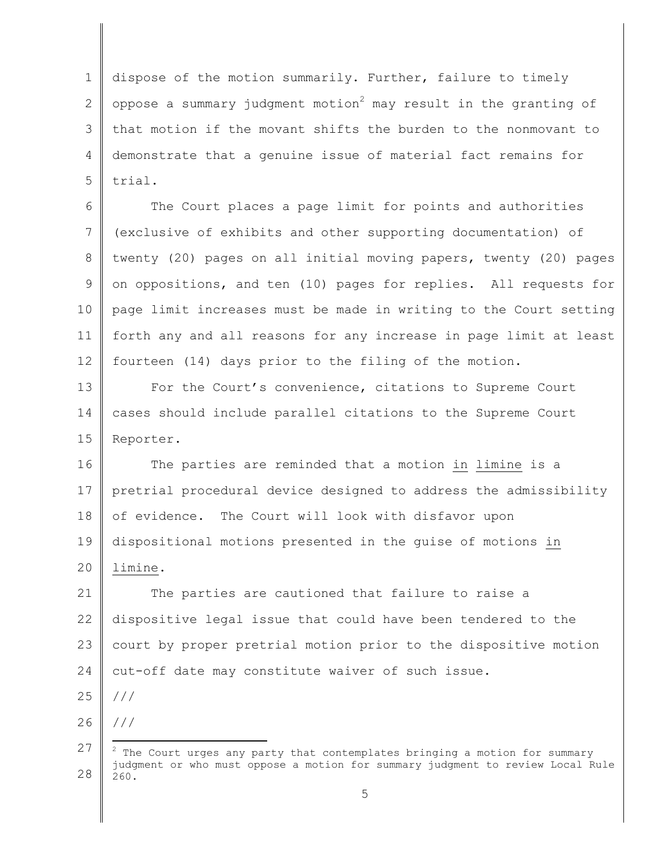1 2 3 4 5 dispose of the motion summarily. Further, failure to timely oppose a summary judgment motion<sup>2</sup> may result in the granting of that motion if the movant shifts the burden to the nonmovant to demonstrate that a genuine issue of material fact remains for trial.

6 7 8 9 10 11 12 The Court places a page limit for points and authorities (exclusive of exhibits and other supporting documentation) of twenty (20) pages on all initial moving papers, twenty (20) pages on oppositions, and ten (10) pages for replies. All requests for page limit increases must be made in writing to the Court setting forth any and all reasons for any increase in page limit at least fourteen (14) days prior to the filing of the motion.

13 14 15 For the Court's convenience, citations to Supreme Court cases should include parallel citations to the Supreme Court Reporter.

16 17 18 19 20 The parties are reminded that a motion in limine is a pretrial procedural device designed to address the admissibility of evidence. The Court will look with disfavor upon dispositional motions presented in the guise of motions in limine.

21 22 23 24 The parties are cautioned that failure to raise a dispositive legal issue that could have been tendered to the court by proper pretrial motion prior to the dispositive motion cut-off date may constitute waiver of such issue.

25 ///

26 ///

<sup>27</sup>  28  $2$  The Court urges any party that contemplates bringing a motion for summary judgment or who must oppose a motion for summary judgment to review Local Rule 260.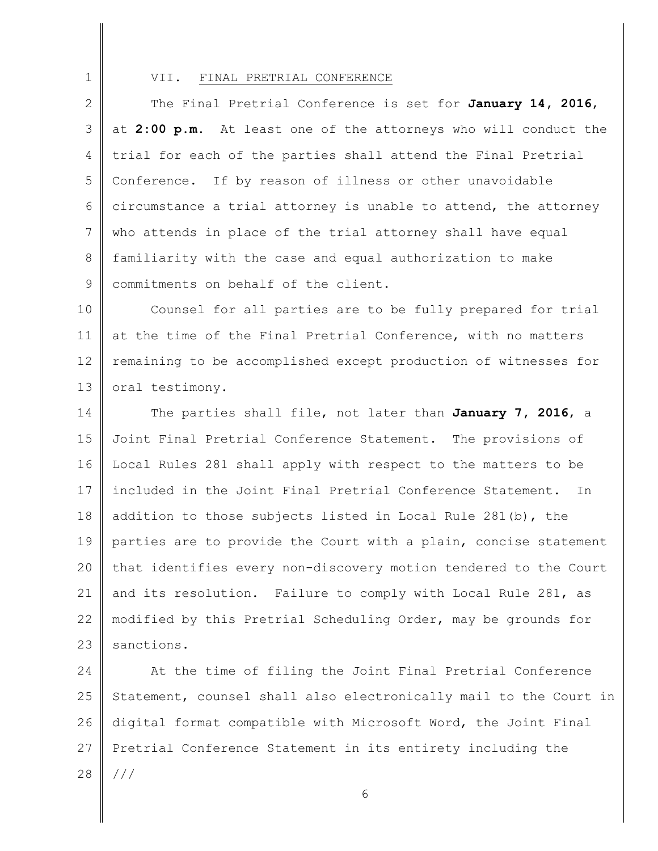1

#### VII. FINAL PRETRIAL CONFERENCE

2 3 4 5 6 7 8 9 The Final Pretrial Conference is set for **January 14, 2016**, at **2:00 p.m.** At least one of the attorneys who will conduct the trial for each of the parties shall attend the Final Pretrial Conference. If by reason of illness or other unavoidable circumstance a trial attorney is unable to attend, the attorney who attends in place of the trial attorney shall have equal familiarity with the case and equal authorization to make commitments on behalf of the client.

10 11 12 13 Counsel for all parties are to be fully prepared for trial at the time of the Final Pretrial Conference, with no matters remaining to be accomplished except production of witnesses for oral testimony.

14 15 16 17 18 19 20 21 22 23 The parties shall file, not later than **January 7, 2016**, a Joint Final Pretrial Conference Statement. The provisions of Local Rules 281 shall apply with respect to the matters to be included in the Joint Final Pretrial Conference Statement. In addition to those subjects listed in Local Rule 281(b), the parties are to provide the Court with a plain, concise statement that identifies every non-discovery motion tendered to the Court and its resolution. Failure to comply with Local Rule 281, as modified by this Pretrial Scheduling Order, may be grounds for sanctions.

24 25 26 27 28 At the time of filing the Joint Final Pretrial Conference Statement, counsel shall also electronically mail to the Court in digital format compatible with Microsoft Word, the Joint Final Pretrial Conference Statement in its entirety including the ///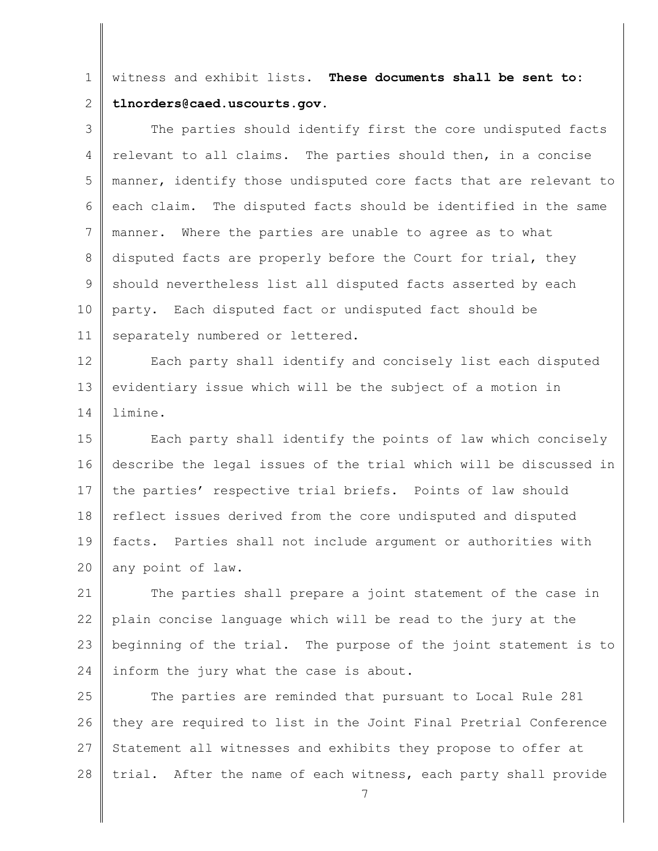1 2 witness and exhibit lists. **These documents shall be sent to: tlnorders@caed.uscourts.gov.**

3 4 5 6 7 8 9 10 11 The parties should identify first the core undisputed facts relevant to all claims. The parties should then, in a concise manner, identify those undisputed core facts that are relevant to each claim. The disputed facts should be identified in the same manner. Where the parties are unable to agree as to what disputed facts are properly before the Court for trial, they should nevertheless list all disputed facts asserted by each party. Each disputed fact or undisputed fact should be separately numbered or lettered.

12 13 14 Each party shall identify and concisely list each disputed evidentiary issue which will be the subject of a motion in limine.

15 16 17 18 19 20 Each party shall identify the points of law which concisely describe the legal issues of the trial which will be discussed in the parties' respective trial briefs. Points of law should reflect issues derived from the core undisputed and disputed facts. Parties shall not include argument or authorities with any point of law.

21 22 23 24 The parties shall prepare a joint statement of the case in plain concise language which will be read to the jury at the beginning of the trial. The purpose of the joint statement is to inform the jury what the case is about.

25 26 27 28 The parties are reminded that pursuant to Local Rule 281 they are required to list in the Joint Final Pretrial Conference Statement all witnesses and exhibits they propose to offer at trial. After the name of each witness, each party shall provide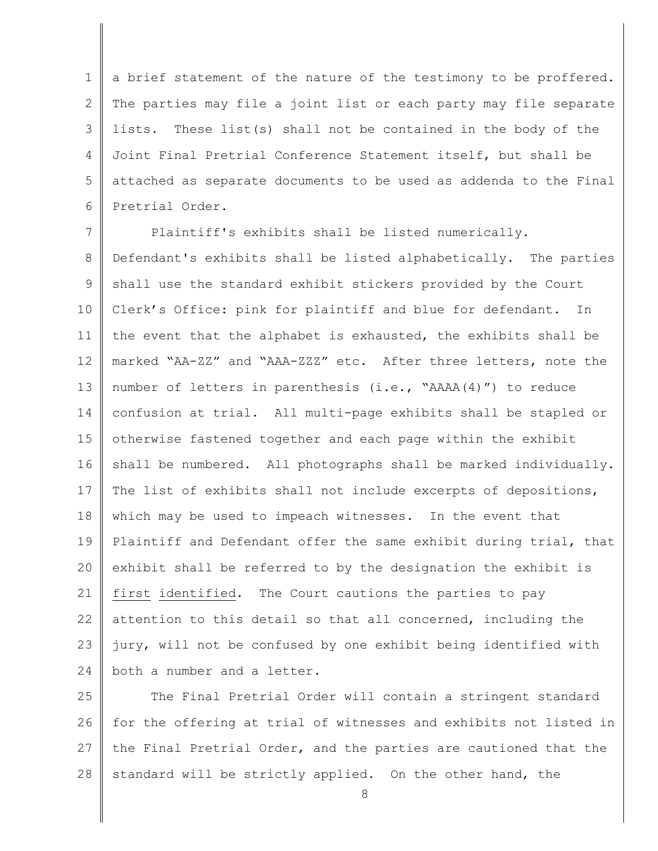1 2 3 4 5 6 a brief statement of the nature of the testimony to be proffered. The parties may file a joint list or each party may file separate lists. These list(s) shall not be contained in the body of the Joint Final Pretrial Conference Statement itself, but shall be attached as separate documents to be used as addenda to the Final Pretrial Order.

7 8 9 10 11 12 13 14 15 16 17 18 19 20 21 22 23 24 Plaintiff's exhibits shall be listed numerically. Defendant's exhibits shall be listed alphabetically. The parties shall use the standard exhibit stickers provided by the Court Clerk's Office: pink for plaintiff and blue for defendant. In the event that the alphabet is exhausted, the exhibits shall be marked "AA-ZZ" and "AAA-ZZZ" etc. After three letters, note the number of letters in parenthesis (i.e., "AAAA(4)") to reduce confusion at trial. All multi-page exhibits shall be stapled or otherwise fastened together and each page within the exhibit shall be numbered. All photographs shall be marked individually. The list of exhibits shall not include excerpts of depositions, which may be used to impeach witnesses. In the event that Plaintiff and Defendant offer the same exhibit during trial, that exhibit shall be referred to by the designation the exhibit is first identified. The Court cautions the parties to pay attention to this detail so that all concerned, including the jury, will not be confused by one exhibit being identified with both a number and a letter.

25 26 27 28 The Final Pretrial Order will contain a stringent standard for the offering at trial of witnesses and exhibits not listed in the Final Pretrial Order, and the parties are cautioned that the standard will be strictly applied. On the other hand, the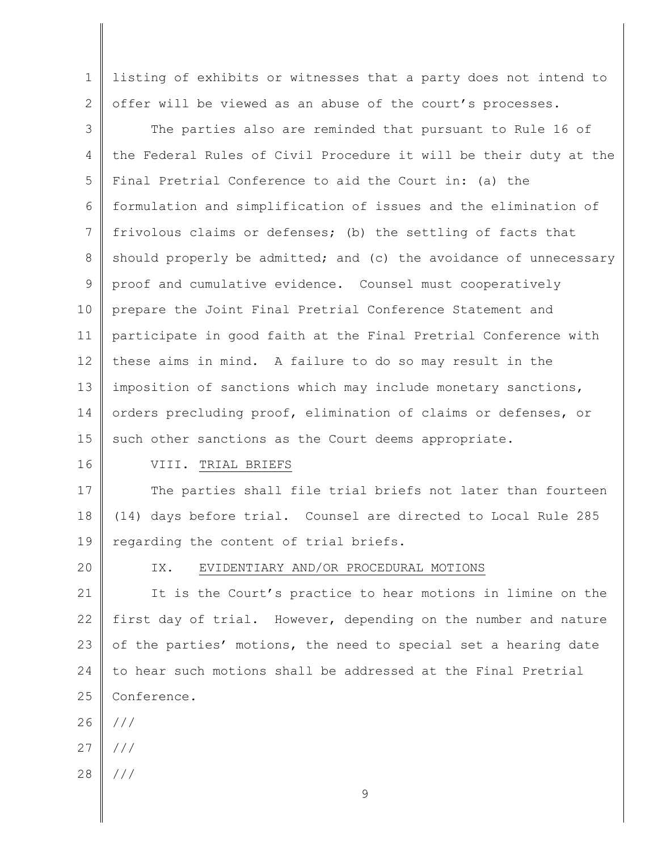1 2 listing of exhibits or witnesses that a party does not intend to offer will be viewed as an abuse of the court's processes.

3 4 5 6 7 8 9 10 11 12 13 14 15 The parties also are reminded that pursuant to Rule 16 of the Federal Rules of Civil Procedure it will be their duty at the Final Pretrial Conference to aid the Court in: (a) the formulation and simplification of issues and the elimination of frivolous claims or defenses; (b) the settling of facts that should properly be admitted; and (c) the avoidance of unnecessary proof and cumulative evidence. Counsel must cooperatively prepare the Joint Final Pretrial Conference Statement and participate in good faith at the Final Pretrial Conference with these aims in mind. A failure to do so may result in the imposition of sanctions which may include monetary sanctions, orders precluding proof, elimination of claims or defenses, or such other sanctions as the Court deems appropriate.

16

## VIII. TRIAL BRIEFS

17 18 19 The parties shall file trial briefs not later than fourteen (14) days before trial. Counsel are directed to Local Rule 285 regarding the content of trial briefs.

20

#### IX. EVIDENTIARY AND/OR PROCEDURAL MOTIONS

21 22 23 24 25 It is the Court's practice to hear motions in limine on the first day of trial. However, depending on the number and nature of the parties' motions, the need to special set a hearing date to hear such motions shall be addressed at the Final Pretrial Conference.

26 ///

- 27 ///
- 28 ///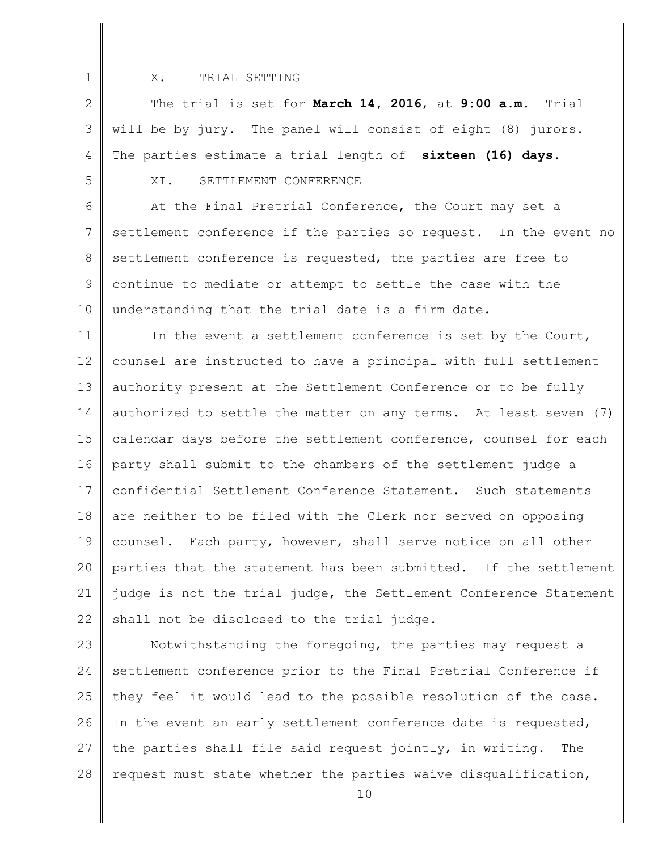1

#### X. TRIAL SETTING

2 3 4 The trial is set for **March 14, 2016**, at **9:00 a.m.** Trial will be by jury. The panel will consist of eight (8) jurors. The parties estimate a trial length of **sixteen (16) days**.

5

# XI. SETTLEMENT CONFERENCE

6 7 8 9 10 At the Final Pretrial Conference, the Court may set a settlement conference if the parties so request. In the event no settlement conference is requested, the parties are free to continue to mediate or attempt to settle the case with the understanding that the trial date is a firm date.

11 12 13 14 15 16 17 18 19 20 21 22 In the event a settlement conference is set by the Court, counsel are instructed to have a principal with full settlement authority present at the Settlement Conference or to be fully authorized to settle the matter on any terms. At least seven (7) calendar days before the settlement conference, counsel for each party shall submit to the chambers of the settlement judge a confidential Settlement Conference Statement. Such statements are neither to be filed with the Clerk nor served on opposing counsel. Each party, however, shall serve notice on all other parties that the statement has been submitted. If the settlement judge is not the trial judge, the Settlement Conference Statement shall not be disclosed to the trial judge.

23 24 25 26 27 28 Notwithstanding the foregoing, the parties may request a settlement conference prior to the Final Pretrial Conference if they feel it would lead to the possible resolution of the case. In the event an early settlement conference date is requested, the parties shall file said request jointly, in writing. The request must state whether the parties waive disqualification,